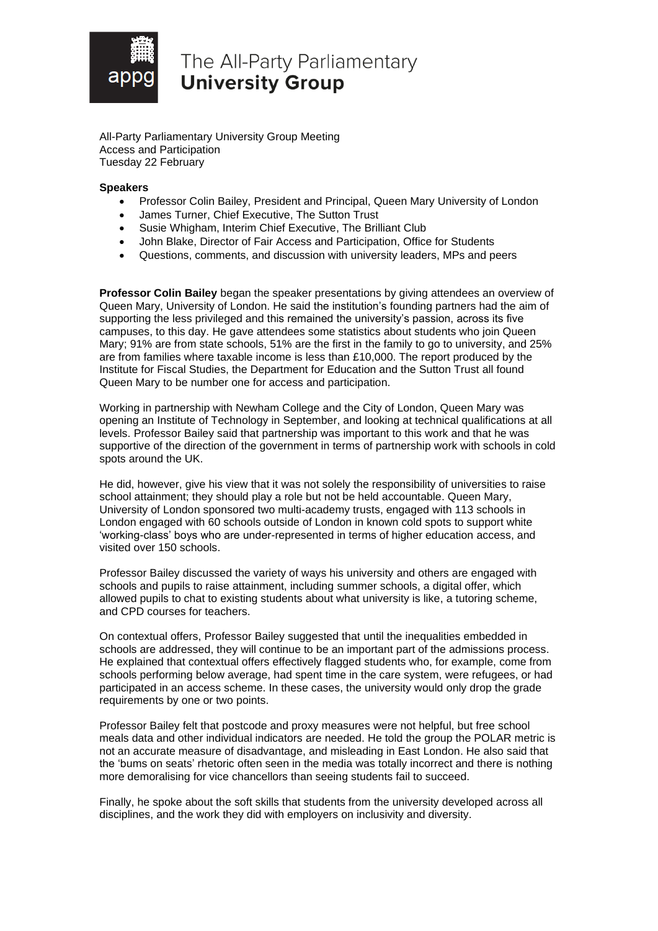

## The All-Party Parliamentary **University Group**

All-Party Parliamentary University Group Meeting Access and Participation Tuesday 22 February

## **Speakers**

- Professor Colin Bailey, President and Principal, Queen Mary University of London
- James Turner, Chief Executive, The Sutton Trust
- Susie Whigham, Interim Chief Executive, The Brilliant Club
- John Blake, Director of Fair Access and Participation, Office for Students
- Questions, comments, and discussion with university leaders, MPs and peers

**Professor Colin Bailey** began the speaker presentations by giving attendees an overview of Queen Mary, University of London. He said the institution's founding partners had the aim of supporting the less privileged and this remained the university's passion, across its five campuses, to this day. He gave attendees some statistics about students who join Queen Mary; 91% are from state schools, 51% are the first in the family to go to university, and 25% are from families where taxable income is less than £10,000. The report produced by the Institute for Fiscal Studies, the Department for Education and the Sutton Trust all found Queen Mary to be number one for access and participation.

Working in partnership with Newham College and the City of London, Queen Mary was opening an Institute of Technology in September, and looking at technical qualifications at all levels. Professor Bailey said that partnership was important to this work and that he was supportive of the direction of the government in terms of partnership work with schools in cold spots around the UK.

He did, however, give his view that it was not solely the responsibility of universities to raise school attainment; they should play a role but not be held accountable. Queen Mary, University of London sponsored two multi-academy trusts, engaged with 113 schools in London engaged with 60 schools outside of London in known cold spots to support white 'working-class' boys who are under-represented in terms of higher education access, and visited over 150 schools.

Professor Bailey discussed the variety of ways his university and others are engaged with schools and pupils to raise attainment, including summer schools, a digital offer, which allowed pupils to chat to existing students about what university is like, a tutoring scheme, and CPD courses for teachers.

On contextual offers, Professor Bailey suggested that until the inequalities embedded in schools are addressed, they will continue to be an important part of the admissions process. He explained that contextual offers effectively flagged students who, for example, come from schools performing below average, had spent time in the care system, were refugees, or had participated in an access scheme. In these cases, the university would only drop the grade requirements by one or two points.

Professor Bailey felt that postcode and proxy measures were not helpful, but free school meals data and other individual indicators are needed. He told the group the POLAR metric is not an accurate measure of disadvantage, and misleading in East London. He also said that the 'bums on seats' rhetoric often seen in the media was totally incorrect and there is nothing more demoralising for vice chancellors than seeing students fail to succeed.

Finally, he spoke about the soft skills that students from the university developed across all disciplines, and the work they did with employers on inclusivity and diversity.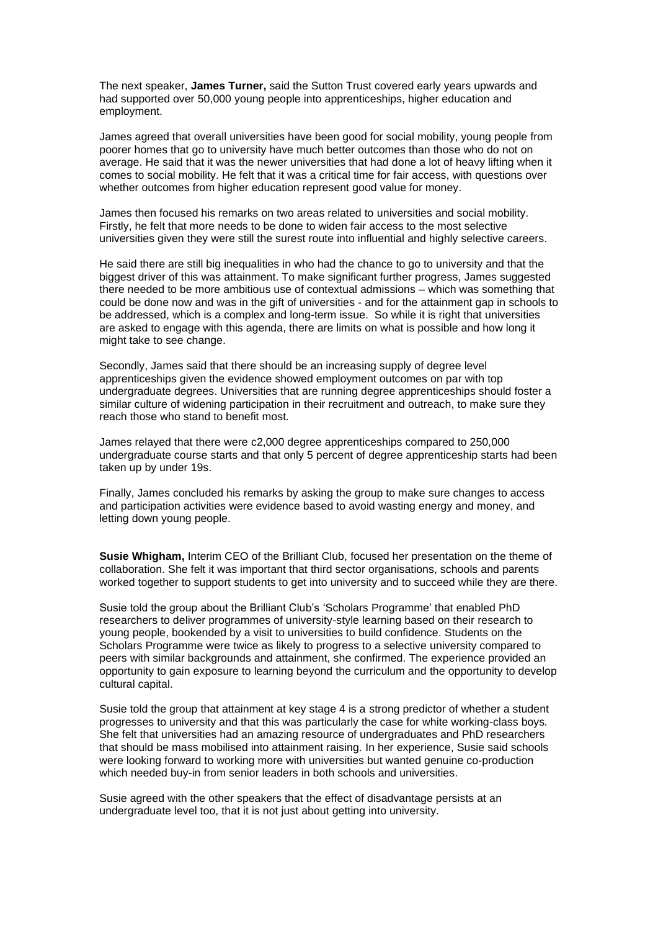The next speaker, **James Turner,** said the Sutton Trust covered early years upwards and had supported over 50,000 young people into apprenticeships, higher education and employment.

James agreed that overall universities have been good for social mobility, young people from poorer homes that go to university have much better outcomes than those who do not on average. He said that it was the newer universities that had done a lot of heavy lifting when it comes to social mobility. He felt that it was a critical time for fair access, with questions over whether outcomes from higher education represent good value for money.

James then focused his remarks on two areas related to universities and social mobility. Firstly, he felt that more needs to be done to widen fair access to the most selective universities given they were still the surest route into influential and highly selective careers.

He said there are still big inequalities in who had the chance to go to university and that the biggest driver of this was attainment. To make significant further progress, James suggested there needed to be more ambitious use of contextual admissions – which was something that could be done now and was in the gift of universities - and for the attainment gap in schools to be addressed, which is a complex and long-term issue. So while it is right that universities are asked to engage with this agenda, there are limits on what is possible and how long it might take to see change.

Secondly, James said that there should be an increasing supply of degree level apprenticeships given the evidence showed employment outcomes on par with top undergraduate degrees. Universities that are running degree apprenticeships should foster a similar culture of widening participation in their recruitment and outreach, to make sure they reach those who stand to benefit most.

James relayed that there were c2,000 degree apprenticeships compared to 250,000 undergraduate course starts and that only 5 percent of degree apprenticeship starts had been taken up by under 19s.

Finally, James concluded his remarks by asking the group to make sure changes to access and participation activities were evidence based to avoid wasting energy and money, and letting down young people.

**Susie Whigham,** Interim CEO of the Brilliant Club, focused her presentation on the theme of collaboration. She felt it was important that third sector organisations, schools and parents worked together to support students to get into university and to succeed while they are there.

Susie told the group about the Brilliant Club's 'Scholars Programme' that enabled PhD researchers to deliver programmes of university-style learning based on their research to young people, bookended by a visit to universities to build confidence. Students on the Scholars Programme were twice as likely to progress to a selective university compared to peers with similar backgrounds and attainment, she confirmed. The experience provided an opportunity to gain exposure to learning beyond the curriculum and the opportunity to develop cultural capital.

Susie told the group that attainment at key stage 4 is a strong predictor of whether a student progresses to university and that this was particularly the case for white working-class boys*.* She felt that universities had an amazing resource of undergraduates and PhD researchers that should be mass mobilised into attainment raising. In her experience, Susie said schools were looking forward to working more with universities but wanted genuine co-production which needed buy-in from senior leaders in both schools and universities.

Susie agreed with the other speakers that the effect of disadvantage persists at an undergraduate level too, that it is not just about getting into university.